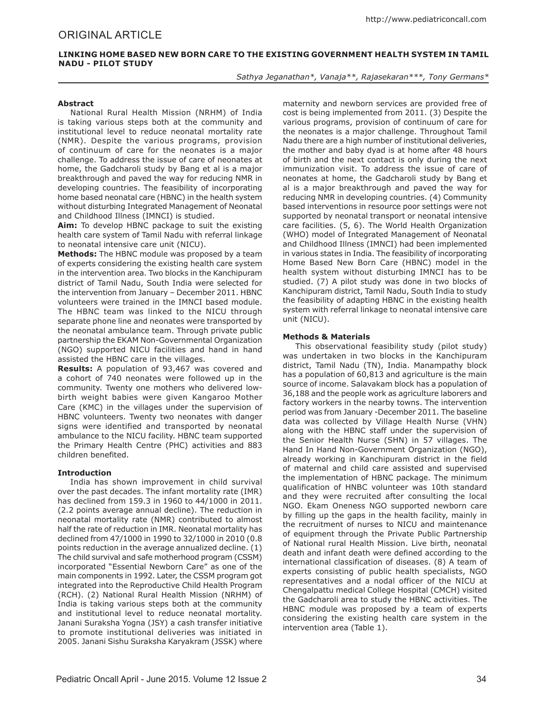# Original ARTICLE

# **Linking Home Based New Born Care to the Existing Government Health system in Tamil Nadu - Pilot Study**

*Sathya Jeganathan\*, Vanaja\*\*, Rajasekaran\*\*\*, Tony Germans\**

### **Abstract**

National Rural Health Mission (NRHM) of India is taking various steps both at the community and institutional level to reduce neonatal mortality rate (NMR). Despite the various programs, provision of continuum of care for the neonates is a major challenge. To address the issue of care of neonates at home, the Gadcharoli study by Bang et al is a major breakthrough and paved the way for reducing NMR in developing countries. The feasibility of incorporating home based neonatal care (HBNC) in the health system without disturbing Integrated Management of Neonatal and Childhood Illness (IMNCI) is studied.

**Aim:** To develop HBNC package to suit the existing health care system of Tamil Nadu with referral linkage to neonatal intensive care unit (NICU).

**Methods:** The HBNC module was proposed by a team of experts considering the existing health care system in the intervention area. Two blocks in the Kanchipuram district of Tamil Nadu, South India were selected for the intervention from January – December 2011. HBNC volunteers were trained in the IMNCI based module. The HBNC team was linked to the NICU through separate phone line and neonates were transported by the neonatal ambulance team. Through private public partnership the EKAM Non-Governmental Organization (NGO) supported NICU facilities and hand in hand assisted the HBNC care in the villages.

**Results:** A population of 93,467 was covered and a cohort of 740 neonates were followed up in the community. Twenty one mothers who delivered lowbirth weight babies were given Kangaroo Mother Care (KMC) in the villages under the supervision of HBNC volunteers. Twenty two neonates with danger signs were identified and transported by neonatal ambulance to the NICU facility. HBNC team supported the Primary Health Centre (PHC) activities and 883 children benefited.

### **Introduction**

India has shown improvement in child survival over the past decades. The infant mortality rate (IMR) has declined from 159.3 in 1960 to 44/1000 in 2011. (2.2 points average annual decline). The reduction in neonatal mortality rate (NMR) contributed to almost half the rate of reduction in IMR. Neonatal mortality has declined from 47/1000 in 1990 to 32/1000 in 2010 (0.8 points reduction in the average annualized decline. (1) The child survival and safe motherhood program (CSSM) incorporated "Essential Newborn Care" as one of the main components in 1992. Later, the CSSM program got integrated into the Reproductive Child Health Program (RCH). (2) National Rural Health Mission (NRHM) of India is taking various steps both at the community and institutional level to reduce neonatal mortality. Janani Suraksha Yogna (JSY) a cash transfer initiative to promote institutional deliveries was initiated in 2005. Janani Sishu Suraksha Karyakram (JSSK) where maternity and newborn services are provided free of cost is being implemented from 2011. (3) Despite the various programs, provision of continuum of care for the neonates is a major challenge. Throughout Tamil Nadu there are a high number of institutional deliveries, the mother and baby dyad is at home after 48 hours of birth and the next contact is only during the next immunization visit. To address the issue of care of neonates at home, the Gadcharoli study by Bang et al is a major breakthrough and paved the way for reducing NMR in developing countries. (4) Community based interventions in resource poor settings were not supported by neonatal transport or neonatal intensive care facilities. (5, 6). The World Health Organization (WHO) model of Integrated Management of Neonatal and Childhood Illness (IMNCI) had been implemented in various states in India. The feasibility of incorporating Home Based New Born Care (HBNC) model in the health system without disturbing IMNCI has to be studied. (7) A pilot study was done in two blocks of Kanchipuram district, Tamil Nadu, South India to study the feasibility of adapting HBNC in the existing health system with referral linkage to neonatal intensive care unit (NICU).

### **Methods & Materials**

This observational feasibility study (pilot study) was undertaken in two blocks in the Kanchipuram district, Tamil Nadu (TN), India. Manampathy block has a population of 60,813 and agriculture is the main source of income. Salavakam block has a population of 36,188 and the people work as agriculture laborers and factory workers in the nearby towns. The intervention period was from January -December 2011. The baseline data was collected by Village Health Nurse (VHN) along with the HBNC staff under the supervision of the Senior Health Nurse (SHN) in 57 villages. The Hand In Hand Non-Government Organization (NGO), already working in Kanchipuram district in the field of maternal and child care assisted and supervised the implementation of HBNC package. The minimum qualification of HNBC volunteer was 10th standard and they were recruited after consulting the local NGO. Ekam Oneness NGO supported newborn care by filling up the gaps in the health facility, mainly in the recruitment of nurses to NICU and maintenance of equipment through the Private Public Partnership of National rural Health Mission. Live birth, neonatal death and infant death were defined according to the international classification of diseases. (8) A team of experts consisting of public health specialists, NGO representatives and a nodal officer of the NICU at Chengalpattu medical College Hospital (CMCH) visited the Gadcharoli area to study the HBNC activities. The HBNC module was proposed by a team of experts considering the existing health care system in the intervention area (Table 1).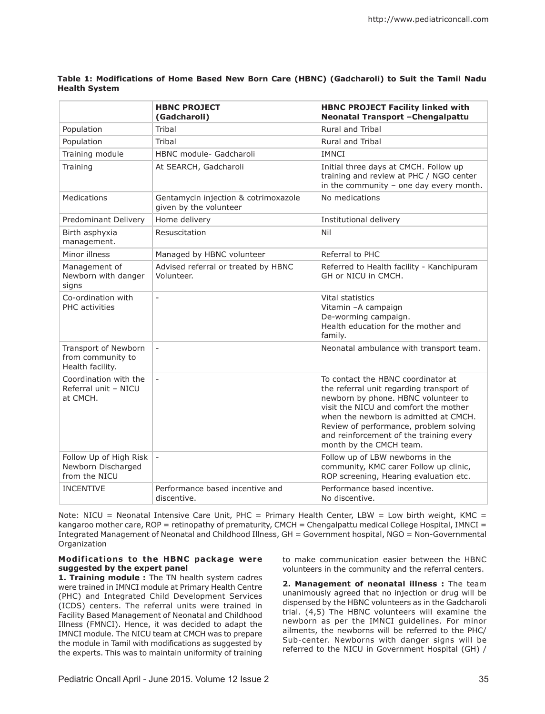# **Table 1: Modifications of Home Based New Born Care (HBNC) (Gadcharoli) to Suit the Tamil Nadu Health System**

|                                                               | <b>HBNC PROJECT</b><br>(Gadcharoli)                            | <b>HBNC PROJECT Facility linked with</b><br>Neonatal Transport - Chengalpattu                                                                                                                                                                                                                                           |
|---------------------------------------------------------------|----------------------------------------------------------------|-------------------------------------------------------------------------------------------------------------------------------------------------------------------------------------------------------------------------------------------------------------------------------------------------------------------------|
| Population                                                    | Tribal                                                         | Rural and Tribal                                                                                                                                                                                                                                                                                                        |
| Population                                                    | Tribal                                                         | <b>Rural and Tribal</b>                                                                                                                                                                                                                                                                                                 |
| Training module                                               | HBNC module- Gadcharoli                                        | <b>IMNCI</b>                                                                                                                                                                                                                                                                                                            |
| Training                                                      | At SEARCH, Gadcharoli                                          | Initial three days at CMCH. Follow up<br>training and review at PHC / NGO center<br>in the community $-$ one day every month.                                                                                                                                                                                           |
| <b>Medications</b>                                            | Gentamycin injection & cotrimoxazole<br>given by the volunteer | No medications                                                                                                                                                                                                                                                                                                          |
| Predominant Delivery                                          | Home delivery                                                  | Institutional delivery                                                                                                                                                                                                                                                                                                  |
| Birth asphyxia<br>management.                                 | Resuscitation                                                  | Nil                                                                                                                                                                                                                                                                                                                     |
| Minor illness                                                 | Managed by HBNC volunteer                                      | Referral to PHC                                                                                                                                                                                                                                                                                                         |
| Management of<br>Newborn with danger<br>signs                 | Advised referral or treated by HBNC<br>Volunteer.              | Referred to Health facility - Kanchipuram<br>GH or NICU in CMCH.                                                                                                                                                                                                                                                        |
| Co-ordination with<br><b>PHC</b> activities                   | $\overline{a}$                                                 | Vital statistics<br>Vitamin - A campaign<br>De-worming campaign.<br>Health education for the mother and<br>family.                                                                                                                                                                                                      |
| Transport of Newborn<br>from community to<br>Health facility. | $\equiv$                                                       | Neonatal ambulance with transport team.                                                                                                                                                                                                                                                                                 |
| Coordination with the<br>Referral unit - NICU<br>at CMCH.     | $\overline{a}$                                                 | To contact the HBNC coordinator at<br>the referral unit regarding transport of<br>newborn by phone. HBNC volunteer to<br>visit the NICU and comfort the mother<br>when the newborn is admitted at CMCH.<br>Review of performance, problem solving<br>and reinforcement of the training every<br>month by the CMCH team. |
| Follow Up of High Risk<br>Newborn Discharged<br>from the NICU | $\frac{1}{2}$                                                  | Follow up of LBW newborns in the<br>community, KMC carer Follow up clinic,<br>ROP screening, Hearing evaluation etc.                                                                                                                                                                                                    |
| <b>INCENTIVE</b>                                              | Performance based incentive and<br>discentive.                 | Performance based incentive.<br>No discentive.                                                                                                                                                                                                                                                                          |

Note: NICU = Neonatal Intensive Care Unit, PHC = Primary Health Center, LBW = Low birth weight, KMC = kangaroo mother care, ROP = retinopathy of prematurity, CMCH = Chengalpattu medical College Hospital, IMNCI = Integrated Management of Neonatal and Childhood Illness, GH = Government hospital, NGO = Non-Governmental **Organization** 

### **Mod if icat ions to the HBNC package were suggested by the expert panel**

**1. Training module :** The TN health system cadres were trained in IMNCI module at Primary Health Centre (PHC) and Integrated Child Development Services (ICDS) centers. The referral units were trained in Facility Based Management of Neonatal and Childhood Illness (FMNCI). Hence, it was decided to adapt the IMNCI module. The NICU team at CMCH was to prepare the module in Tamil with modifications as suggested by the experts. This was to maintain uniformity of training

to make communication easier between the HBNC volunteers in the community and the referral centers.

**2. Management of neonatal illness :** The team unanimously agreed that no injection or drug will be dispensed by the HBNC volunteers as in the Gadcharoli trial. (4,5) The HBNC volunteers will examine the newborn as per the IMNCI guidelines. For minor ailments, the newborns will be referred to the PHC/ Sub-center. Newborns with danger signs will be referred to the NICU in Government Hospital (GH) /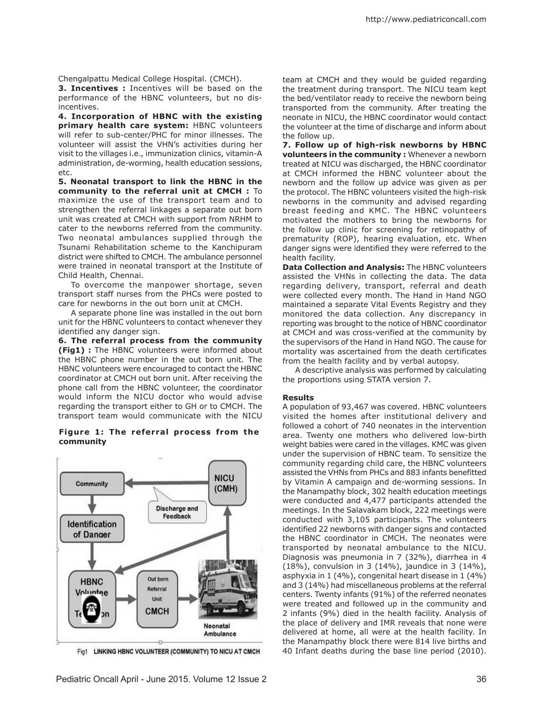Chengalpattu Medical College Hospital. (CMCH).

**3. Incentives :** Incentives will be based on the performance of the HBNC volunteers, but no disincentives.

**4. Incorporation of HBNC with the existing primary health care system:** HBNC volunteers will refer to sub-center/PHC for minor illnesses. The volunteer will assist the VHN's activities during her visit to the villages i.e., immunization clinics, vitamin-A administration, de-worming, health education sessions, etc.

**5. Neonatal transport to link the HBNC in the community to the referral unit at CMCH :** To maximize the use of the transport team and to strengthen the referral linkages a separate out born unit was created at CMCH with support from NRHM to cater to the newborns referred from the community. Two neonatal ambulances supplied through the Tsunami Rehabilitation scheme to the Kanchipuram district were shifted to CMCH. The ambulance personnel were trained in neonatal transport at the Institute of Child Health, Chennai.

To overcome the manpower shortage, seven transport staff nurses from the PHCs were posted to care for newborns in the out born unit at CMCH.

A separate phone line was installed in the out born unit for the HBNC volunteers to contact whenever they identified any danger sign.

**6. The referral process from the community (Fig1) :** The HBNC volunteers were informed about the HBNC phone number in the out born unit. The HBNC volunteers were encouraged to contact the HBNC coordinator at CMCH out born unit. After receiving the phone call from the HBNC volunteer, the coordinator would inform the NICU doctor who would advise regarding the transport either to GH or to CMCH. The transport team would communicate with the NICU

### Figure 1: The referral process from the **community**



Fig1 LINKING HBNC VOLUNTEER (COMMUNITY) TO NICU AT CMCH

team at CMCH and they would be guided regarding the treatment during transport. The NICU team kept the bed/ventilator ready to receive the newborn being transported from the community. After treating the neonate in NICU, the HBNC coordinator would contact the volunteer at the time of discharge and inform about the follow up.

**7. Follow up of high-risk newborns by HBNC volunteers in the community :** Whenever a newborn treated at NICU was discharged, the HBNC coordinator at CMCH informed the HBNC volunteer about the newborn and the follow up advice was given as per the protocol. The HBNC volunteers visited the high-risk newborns in the community and advised regarding breast feeding and KMC. The HBNC volunteers motivated the mothers to bring the newborns for the follow up clinic for screening for retinopathy of prematurity (ROP), hearing evaluation, etc. When danger signs were identified they were referred to the health facility.

**Data Collection and Analysis:** The HBNC volunteers assisted the VHNs in collecting the data. The data regarding delivery, transport, referral and death were collected every month. The Hand in Hand NGO maintained a separate Vital Events Registry and they monitored the data collection. Any discrepancy in reporting was brought to the notice of HBNC coordinator at CMCH and was cross-verified at the community by the supervisors of the Hand in Hand NGO. The cause for mortality was ascertained from the death certificates from the health facility and by verbal autopsy.

A descriptive analysis was performed by calculating the proportions using STATA version 7.

### **Results**

A population of 93,467 was covered. HBNC volunteers visited the homes after institutional delivery and followed a cohort of 740 neonates in the intervention area. Twenty one mothers who delivered low-birth weight babies were cared in the villages. KMC was given under the supervision of HBNC team. To sensitize the community regarding child care, the HBNC volunteers assisted the VHNs from PHCs and 883 infants benefitted by Vitamin A campaign and de-worming sessions. In the Manampathy block, 302 health education meetings were conducted and 4,477 participants attended the meetings. In the Salavakam block, 222 meetings were conducted with 3,105 participants. The volunteers identified 22 newborns with danger signs and contacted the HBNC coordinator in CMCH. The neonates were transported by neonatal ambulance to the NICU. Diagnosis was pneumonia in 7 (32%), diarrhea in 4 (18%), convulsion in 3 (14%), jaundice in 3 (14%), asphyxia in 1 (4%), congenital heart disease in 1 (4%) and 3 (14%) had miscellaneous problems at the referral centers. Twenty infants (91%) of the referred neonates were treated and followed up in the community and 2 infants (9%) died in the health facility. Analysis of the place of delivery and IMR reveals that none were delivered at home, all were at the health facility. In the Manampathy block there were 814 live births and 40 Infant deaths during the base line period (2010).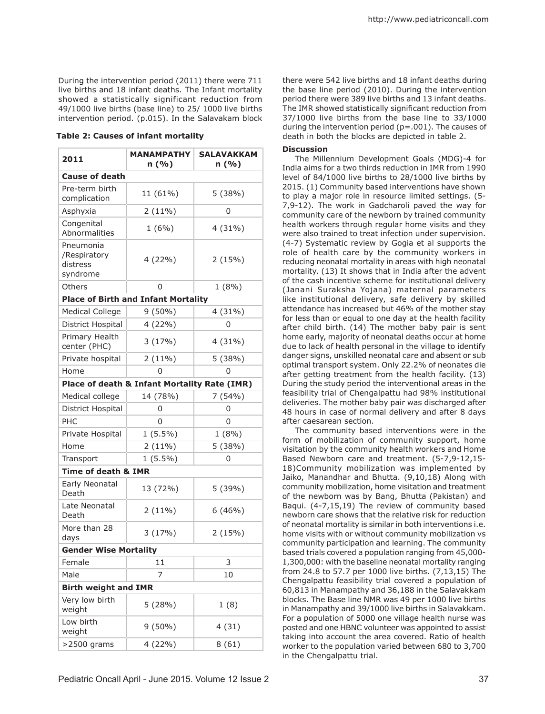During the intervention period (2011) there were 711 live births and 18 infant deaths. The Infant mortality showed a statistically significant reduction from 49/1000 live births (base line) to 25/ 1000 live births intervention period. (p.015). In the Salavakam block

| 2011                                              | <b>MANAMPATHY</b><br>n(%)                    | <b>SALAVAKKAM</b><br>n(%) |  |  |
|---------------------------------------------------|----------------------------------------------|---------------------------|--|--|
| <b>Cause of death</b>                             |                                              |                           |  |  |
| Pre-term birth<br>complication                    | 11 (61%)                                     | 5(38%)                    |  |  |
| Asphyxia                                          | 2(11%)                                       | 0                         |  |  |
| Congenital<br>Abnormalities                       | $1(6\%)$                                     | 4(31%)                    |  |  |
| Pneumonia<br>/Respiratory<br>distress<br>syndrome | 4(22%)                                       | 2(15%)                    |  |  |
| Others                                            | 0                                            | 1(8%)                     |  |  |
| <b>Place of Birth and Infant Mortality</b>        |                                              |                           |  |  |
| <b>Medical College</b>                            | $9(50\%)$                                    | 4 (31%)                   |  |  |
| District Hospital                                 | 4 (22%)                                      | 0                         |  |  |
| Primary Health<br>center (PHC)                    | 3(17%)                                       | 4(31%)                    |  |  |
| Private hospital                                  | 2(11%)                                       | 5 (38%)                   |  |  |
| Home                                              | 0                                            | 0                         |  |  |
|                                                   | Place of death & Infant Mortality Rate (IMR) |                           |  |  |
| Medical college                                   | 14 (78%)                                     | 7(54%)                    |  |  |
| District Hospital                                 | 0                                            | 0                         |  |  |
| PHC                                               | 0                                            | 0                         |  |  |
| Private Hospital                                  | $1(5.5\%)$                                   | 1(8%)                     |  |  |
| Home                                              | $2(11\%)$                                    | 5(38%)                    |  |  |
| Transport                                         | $1(5.5\%)$                                   | 0                         |  |  |
| <b>Time of death &amp; IMR</b>                    |                                              |                           |  |  |
| Early Neonatal<br>Death                           | 13 (72%)                                     | 5 (39%)                   |  |  |
| Late Neonatal<br>Death                            | $2(11\%)$                                    | 6(46%)                    |  |  |
| More than 28<br>days                              | 3(17%)                                       | 2(15%)                    |  |  |
| <b>Gender Wise Mortality</b>                      |                                              |                           |  |  |
| Female                                            | 11                                           | 3                         |  |  |
| Male                                              | 7                                            | 10                        |  |  |
| <b>Birth weight and IMR</b>                       |                                              |                           |  |  |
| Very low birth<br>weight                          | 5(28%)                                       | 1(8)                      |  |  |
| Low birth<br>weight                               | $9(50\%)$                                    | 4(31)                     |  |  |
| >2500 grams                                       | 4 (22%)                                      | 8(61)                     |  |  |

there were 542 live births and 18 infant deaths during the base line period (2010). During the intervention period there were 389 live births and 13 infant deaths. The IMR showed statistically significant reduction from 37/1000 live births from the base line to 33/1000 during the intervention period ( $p = .001$ ). The causes of **Table 2: Causes of infant mortality** death in both the blocks are depicted in table 2.

#### **Discussion**

The Millennium Development Goals (MDG)-4 for India aims for a two thirds reduction in IMR from 1990 level of 84/1000 live births to 28/1000 live births by 2015. (1) Community based interventions have shown to play a major role in resource limited settings. (5- 7,9-12). The work in Gadcharoli paved the way for community care of the newborn by trained community health workers through regular home visits and they were also trained to treat infection under supervision. (4-7) Systematic review by Gogia et al supports the role of health care by the community workers in reducing neonatal mortality in areas with high neonatal mortality. (13) It shows that in India after the advent of the cash incentive scheme for institutional delivery (Janani Suraksha Yojana) maternal parameters like institutional delivery, safe delivery by skilled attendance has increased but 46% of the mother stay for less than or equal to one day at the health facility after child birth. (14) The mother baby pair is sent home early, majority of neonatal deaths occur at home due to lack of health personal in the village to identify danger signs, unskilled neonatal care and absent or sub optimal transport system. Only 22.2% of neonates die after getting treatment from the health facility. (13) During the study period the interventional areas in the feasibility trial of Chengalpattu had 98% institutional deliveries. The mother baby pair was discharged after 48 hours in case of normal delivery and after 8 days after caesarean section.

The community based interventions were in the form of mobilization of community support, home visitation by the community health workers and Home Based Newborn care and treatment. (5-7,9-12,15- 18)Community mobilization was implemented by Jaiko, Manandhar and Bhutta. (9,10,18) Along with community mobilization, home visitation and treatment of the newborn was by Bang, Bhutta (Pakistan) and Baqui. (4-7,15,19) The review of community based newborn care shows that the relative risk for reduction of neonatal mortality is similar in both interventions i.e. home visits with or without community mobilization vs community participation and learning. The community based trials covered a population ranging from 45,000- 1,300,000: with the baseline neonatal mortality ranging from 24.8 to 57.7 per 1000 live births. (7,13,15) The Chengalpattu feasibility trial covered a population of 60,813 in Manampathy and 36,188 in the Salavakkam blocks. The Base line NMR was 49 per 1000 live births in Manampathy and 39/1000 live births in Salavakkam. For a population of 5000 one village health nurse was posted and one HBNC volunteer was appointed to assist taking into account the area covered. Ratio of health worker to the population varied between 680 to 3,700 in the Chengalpattu trial.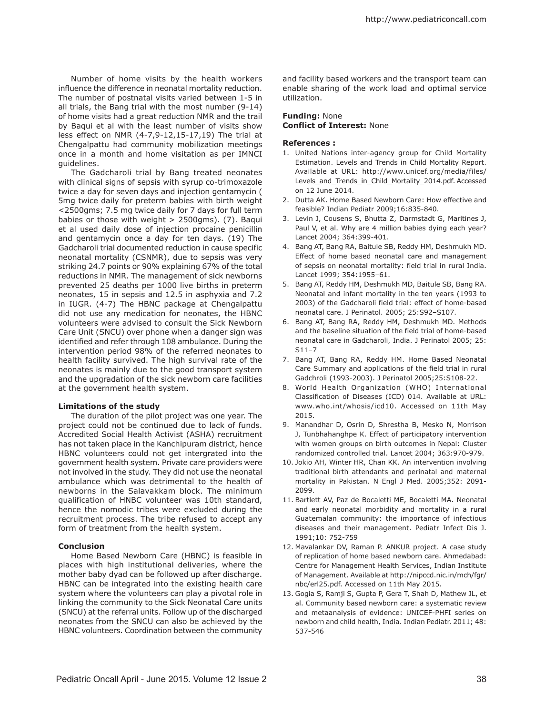Number of home visits by the health workers influence the difference in neonatal mortality reduction. The number of postnatal visits varied between 1-5 in all trials, the Bang trial with the most number (9-14) of home visits had a great reduction NMR and the trail by Baqui et al with the least number of visits show less effect on NMR (4-7,9-12,15-17,19) The trial at Chengalpattu had community mobilization meetings once in a month and home visitation as per IMNCI guidelines.

The Gadcharoli trial by Bang treated neonates with clinical signs of sepsis with syrup co-trimoxazole twice a day for seven days and injection gentamycin ( 5mg twice daily for preterm babies with birth weight <2500gms; 7.5 mg twice daily for 7 days for full term babies or those with weight  $> 2500$ gms). (7). Baqui et al used daily dose of injection procaine penicillin and gentamycin once a day for ten days. (19) The Gadcharoli trial documented reduction in cause specific neonatal mortality (CSNMR), due to sepsis was very striking 24.7 points or 90% explaining 67% of the total reductions in NMR. The management of sick newborns prevented 25 deaths per 1000 live births in preterm neonates, 15 in sepsis and 12.5 in asphyxia and 7.2 in IUGR. (4-7) The HBNC package at Chengalpattu did not use any medication for neonates, the HBNC volunteers were advised to consult the Sick Newborn Care Unit (SNCU) over phone when a danger sign was identified and refer through 108 ambulance. During the intervention period 98% of the referred neonates to health facility survived. The high survival rate of the neonates is mainly due to the good transport system and the upgradation of the sick newborn care facilities at the government health system.

#### **Limitations of the study**

The duration of the pilot project was one year. The project could not be continued due to lack of funds. Accredited Social Health Activist (ASHA) recruitment has not taken place in the Kanchipuram district, hence HBNC volunteers could not get intergrated into the government health system. Private care providers were not involved in the study. They did not use the neonatal ambulance which was detrimental to the health of newborns in the Salavakkam block. The minimum qualification of HNBC volunteer was 10th standard, hence the nomodic tribes were excluded during the recruitment process. The tribe refused to accept any form of treatment from the health system.

#### **Conclusion**

Home Based Newborn Care (HBNC) is feasible in places with high institutional deliveries, where the mother baby dyad can be followed up after discharge. HBNC can be integrated into the existing health care system where the volunteers can play a pivotal role in linking the community to the Sick Neonatal Care units (SNCU) at the referral units. Follow up of the discharged neonates from the SNCU can also be achieved by the HBNC volunteers. Coordination between the community

and facility based workers and the transport team can enable sharing of the work load and optimal service utilization.

## **Funding:** None **Conflict of Interest:** None

### **References :**

- 1. United Nations inter-agency group for Child Mortality Estimation. Levels and Trends in Child Mortality Report. Available at URL: http://www.unicef.org/media/files/ Levels\_and\_Trends\_in\_Child\_Mortality\_2014.pdf. Accessed on 12 June 2014.
- 2. Dutta AK. Home Based Newborn Care: How effective and feasible? Indian Pediatr 2009;16:835-840.
- 3. Levin J, Cousens S, Bhutta Z, Darmstadt G, Maritines J, Paul V, et al. Why are 4 million babies dying each year? Lancet 2004; 364:399-401.
- 4. Bang AT, Bang RA, Baitule SB, Reddy HM, Deshmukh MD. Effect of home based neonatal care and management of sepsis on neonatal mortality: field trial in rural India. Lancet 1999; 354:1955–61.
- 5. Bang AT, Reddy HM, Deshmukh MD, Baitule SB, Bang RA. Neonatal and infant mortality in the ten years (1993 to 2003) of the Gadcharoli field trial: effect of home-based neonatal care. J Perinatol. 2005; 25:S92–S107.
- 6. Bang AT, Bang RA, Reddy HM, Deshmukh MD. Methods and the baseline situation of the field trial of home-based neonatal care in Gadcharoli, India. J Perinatol 2005; 25: S11–7
- 7. Bang AT, Bang RA, Reddy HM. Home Based Neonatal Care Summary and applications of the field trial in rural Gadchroli (1993-2003). J Perinatol 2005;25:S108-22.
- 8. World Health Organization (WHO) International Classification of Diseases (ICD) 014. Available at URL: www.who.int/whosis/icd10. Accessed on 11th May 2015.
- 9. Manandhar D, Osrin D, Shrestha B, Mesko N, Morrison J, Tunbhahanghpe K. Effect of participatory intervention with women groups on birth outcomes in Nepal: Cluster randomized controlled trial. Lancet 2004; 363:970-979.
- 10. Jokio AH, Winter HR, Chan KK. An intervention involving traditional birth attendants and perinatal and maternal mortality in Pakistan. N Engl J Med. 2005;352: 2091- 2099.
- 11. Bartlett AV, Paz de Bocaletti ME, Bocaletti MA. Neonatal and early neonatal morbidity and mortality in a rural Guatemalan community: the importance of infectious diseases and their management. Pediatr Infect Dis J. 1991;10: 752-759
- 12. Mavalankar DV, Raman P. ANKUR project. A case study of replication of home based newborn care. Ahmedabad: Centre for Management Health Services, Indian Institute of Management. Available at http://nipccd.nic.in/mch/fgr/ nbc/erl25.pdf. Accessed on 11th May 2015.
- 13. Gogia S, Ramji S, Gupta P, Gera T, Shah D, Mathew JL, et al. Community based newborn care: a systematic review and metaanalysis of evidence: UNICEF-PHFI series on newborn and child health, India. Indian Pediatr. 2011; 48: 537-546